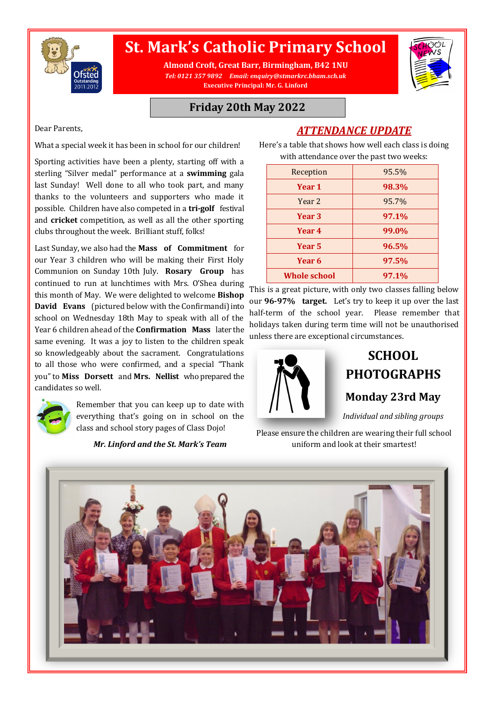

# **St. Mark's Catholic Primary School**

**Almond Croft, Great Barr, Birmingham, B42 1NU** *Tel: 0121 357 9892 Email: enquiry@stmarkrc.bham.sch.uk* **Executive Principal: Mr. G. Linford**



#### **Friday 20th May 2022**

Dear Parents,

What a special week it has been in school for our children!

Sporting activities have been a plenty, starting off with a sterling "Silver medal" performance at a **swimming** gala last Sunday! Well done to all who took part, and many thanks to the volunteers and supporters who made it possible. Children have also competed in a **tri-golf** festival and **cricket** competition, as well as all the other sporting clubs throughout the week. Brilliant stuff, folks!

Last Sunday, we also had the **Mass of Commitment** for our Year 3 children who will be making their First Holy Communion on Sunday 10th July. **Rosary Group** has continued to run at lunchtimes with Mrs. O'Shea during this month of May. We were delighted to welcome **Bishop David Evans** (pictured below with the Confirmandi) into school on Wednesday 18th May to speak with all of the Year 6 children ahead of the **Confirmation Mass** later the same evening. It was a joy to listen to the children speak so knowledgeably about the sacrament. Congratulations to all those who were confirmed, and a special "Thank you" to **Miss Dorsett** and **Mrs. Nellist** who prepared the candidates so well.



Remember that you can keep up to date with everything that's going on in school on the class and school story pages of Class Dojo!

*Mr. Linford and the St. Mark's Team* 

*ATTENDANCE UPDATE* Here's a table that shows how well each class is doing

| with attendance over the past two weeks: |       |
|------------------------------------------|-------|
| Reception                                | 95.5% |
| Year 1                                   | 98.3% |
| Year <sub>2</sub>                        | 95.7% |
| Year 3                                   | 97.1% |
| Year 4                                   | 99.0% |
| Year 5                                   | 96.5% |
| Year 6                                   | 97.5% |
| <b>Whole school</b>                      | 97.1% |

This is a great picture, with only two classes falling below our **96-97% target.** Let's try to keep it up over the last half-term of the school year. Please remember that holidays taken during term time will not be unauthorised unless there are exceptional circumstances.



# **SCHOOL PHOTOGRAPHS**

**Monday 23rd May**

*Individual and sibling groups*

Please ensure the children are wearing their full school uniform and look at their smartest!